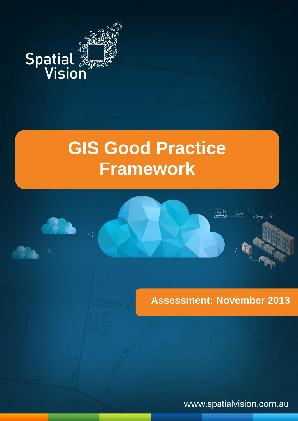# **Spatial 38**

Local Government Spatial Reference  $\mathsf{dP}\mathsf{Y}_\mathsf{a}$  (  $\mathsf{P}\mathsf{Y}_\mathsf{a}$  ) and  $\mathsf{P}\mathsf{Y}_\mathsf{a}$ 

# **GIS Good Practice Framework**



www.spatialvision.com.au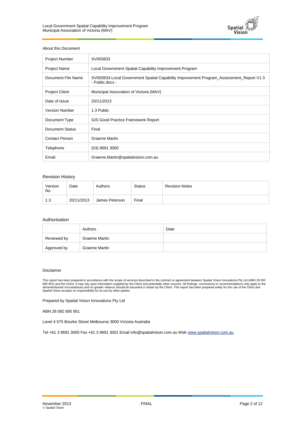

#### About this Document

| <b>Project Number</b> | SV003833                                                                                                   |
|-----------------------|------------------------------------------------------------------------------------------------------------|
| <b>Project Name</b>   | Local Government Spatial Capability Improvement Program                                                    |
| Document File Name    | SV003833-Local Government Spatial Capability Improvement Program_Assessment_Report V1.3<br>- Public.docx - |
| <b>Project Client</b> | Municipal Association of Victoria (MAV)                                                                    |
| Date of Issue         | 20/11/2013                                                                                                 |
| <b>Version Number</b> | 1.3 Public                                                                                                 |
| Document Type         | <b>GIS Good Practice Framework Report</b>                                                                  |
| Document Status       | Final                                                                                                      |
| <b>Contact Person</b> | Graeme Martin                                                                                              |
| Telephone             | $(03)$ 9691 3000                                                                                           |
| Email                 | Graeme.Martin@spatialvision.com.au                                                                         |

#### Revision History

| Version<br>No. | Date       | Authors        | <b>Status</b> | <b>Revision Notes</b> |
|----------------|------------|----------------|---------------|-----------------------|
| 1.3            | 20/11/2013 | James Peterson | Final         |                       |

#### Authorisation

|             | Authors       | Date |
|-------------|---------------|------|
| Reviewed by | Graeme Martin |      |
| Approved by | Graeme Martin |      |

#### Disclaimer

This report has been prepared in accordance with the scope of services described in the contract or agreement between Spatial Vision Innovations Pty Ltd (ABN 28 092<br>695 951) and the Client. It may rely upon information sup

Prepared by Spatial Vision Innovations Pty Ltd

ABN 28 092 695 951

Level 4 575 Bourke Street Melbourne 3000 Victoria Australia

Tel +61 3 9691 3000 Fax +61 3 9691 3001 Email info@spatialvision.com.au Web www.spatialvision.com.au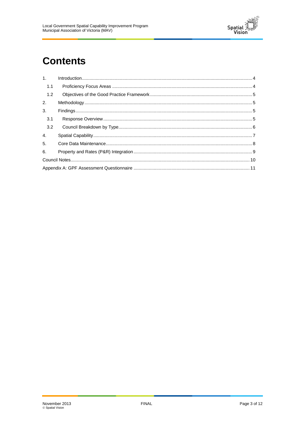

# **Contents**

| 1.1 |  |
|-----|--|
| 1.2 |  |
| 2.  |  |
| 3.  |  |
| 3.1 |  |
| 3.2 |  |
| 4.  |  |
| 5.  |  |
| 6.  |  |
|     |  |
|     |  |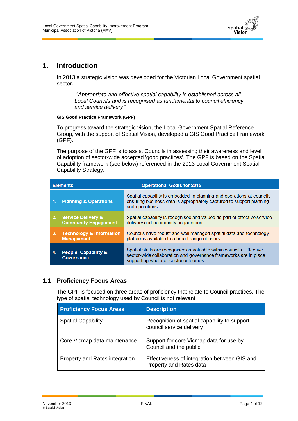

#### <span id="page-3-0"></span>**1. Introduction**

In 2013 a strategic vision was developed for the Victorian Local Government spatial sector.

*"Appropriate and effective spatial capability is established across all Local Councils and is recognised as fundamental to council efficiency and service delivery"*

#### **GIS Good Practice Framework (GPF)**

To progress toward the strategic vision, the Local Government Spatial Reference Group, with the support of Spatial Vision, developed a GIS Good Practice Framework (GPF).

The purpose of the GPF is to assist Councils in assessing their awareness and level of adoption of sector-wide accepted 'good practices'. The GPF is based on the Spatial Capability framework (see below) referenced in the 2013 Local Government Spatial Capability Strategy.

|    | <b>Elements</b>                                              | <b>Operational Goals for 2015</b>                                                                                                                                                |
|----|--------------------------------------------------------------|----------------------------------------------------------------------------------------------------------------------------------------------------------------------------------|
| 1. | <b>Planning &amp; Operations</b>                             | Spatial capability is embedded in planning and operations at councils<br>ensuring business data is appropriately captured to support planning<br>and operations.                 |
| 2. | <b>Service Delivery &amp;</b><br><b>Community Engagement</b> | Spatial capability is recognised and valued as part of effective service<br>delivery and community engagement.                                                                   |
| 3. | <b>Technology &amp; Information</b><br><b>Management</b>     | Councils have robust and well managed spatial data and technology<br>platforms available to a broad range of users.                                                              |
|    | People, Capability &<br>Governance                           | Spatial skills are recognised as valuable within councils. Effective<br>sector-wide collaboration and governance frameworks are in place<br>supporting whole-of-sector outcomes. |

#### <span id="page-3-1"></span>**1.1 Proficiency Focus Areas**

The GPF is focused on three areas of proficiency that relate to Council practices. The type of spatial technology used by Council is not relevant.

| <b>Proficiency Focus Areas</b> | <b>Description</b>                                                       |
|--------------------------------|--------------------------------------------------------------------------|
| <b>Spatial Capability</b>      | Recognition of spatial capability to support<br>council service delivery |
| Core Vicmap data maintenance   | Support for core Vicmap data for use by<br>Council and the public        |
| Property and Rates integration | Effectiveness of integration between GIS and<br>Property and Rates data  |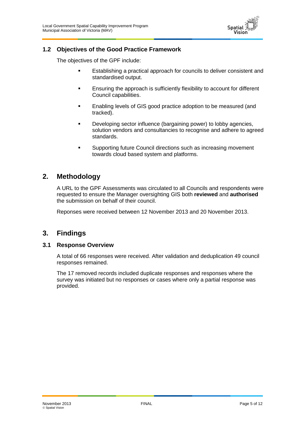

#### <span id="page-4-0"></span>**1.2 Objectives of the Good Practice Framework**

The objectives of the GPF include:

- **Establishing a practical approach for councils to deliver consistent and** standardised output.
- **Ensuring the approach is sufficiently flexibility to account for different** Council capabilities.
- **Enabling levels of GIS good practice adoption to be measured (and** tracked).
- Developing sector influence (bargaining power) to lobby agencies, solution vendors and consultancies to recognise and adhere to agreed standards.
- **Supporting future Council directions such as increasing movement** towards cloud based system and platforms.

#### <span id="page-4-1"></span>**2. Methodology**

A URL to the GPF Assessments was circulated to all Councils and respondents were requested to ensure the Manager oversighting GIS both **reviewed** and **authorised** the submission on behalf of their council.

Reponses were received between 12 November 2013 and 20 November 2013.

#### <span id="page-4-2"></span>**3. Findings**

#### <span id="page-4-3"></span>**3.1 Response Overview**

A total of 66 responses were received. After validation and deduplication 49 council responses remained.

The 17 removed records included duplicate responses and responses where the survey was initiated but no responses or cases where only a partial response was provided.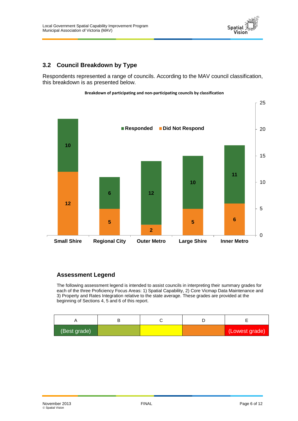

#### <span id="page-5-0"></span>**3.2 Council Breakdown by Type**

Respondents represented a range of councils. According to the MAV council classification, this breakdown is as presented below.





#### **Assessment Legend**

The following assessment legend is intended to assist councils in interpreting their summary grades for each of the three Proficiency Focus Areas: 1) Spatial Capability, 2) Core Vicmap Data Maintenance and 3) Property and Rates Integration relative to the state average. These grades are provided at the beginning of Sections 4, 5 and 6 of this report.

| (Best grade) |  | (Lowest grade) |
|--------------|--|----------------|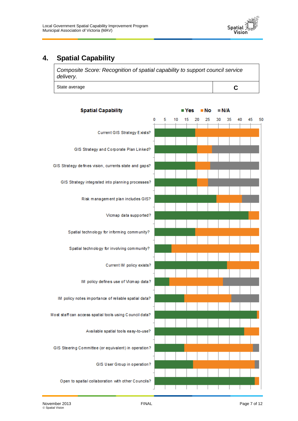

## <span id="page-6-0"></span>**4. Spatial Capability**



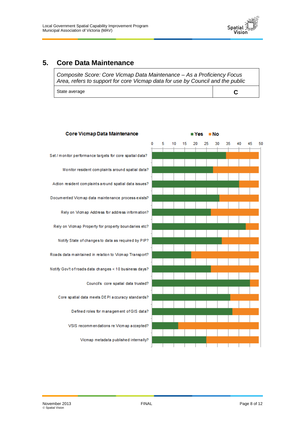

#### <span id="page-7-0"></span>**5. Core Data Maintenance**

*Composite Score: Core Vicmap Data Maintenance – As a Proficiency Focus Area, refers to support for core Vicmap data for use by Council and the public*

State average **C** 

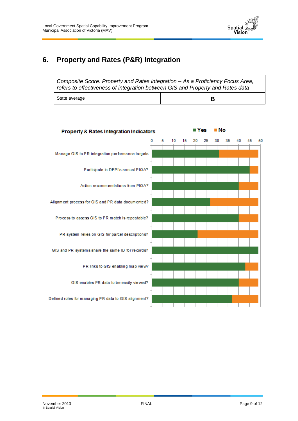

# <span id="page-8-0"></span>**6. Property and Rates (P&R) Integration**

| Composite Score: Property and Rates integration – As a Proficiency Focus Area,<br>refers to effectiveness of integration between GIS and Property and Rates data |   |
|------------------------------------------------------------------------------------------------------------------------------------------------------------------|---|
| State average                                                                                                                                                    | в |

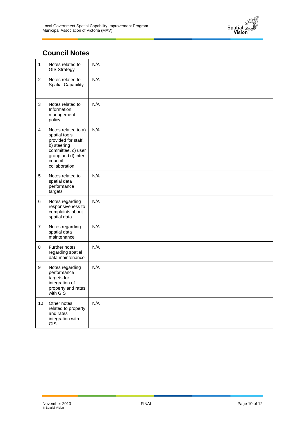

### <span id="page-9-0"></span>**Council Notes**

| 1               | Notes related to<br><b>GIS Strategy</b>                                                                                                             | N/A |
|-----------------|-----------------------------------------------------------------------------------------------------------------------------------------------------|-----|
| $\overline{2}$  | Notes related to<br><b>Spatial Capability</b>                                                                                                       | N/A |
| 3               | Notes related to<br>Information<br>management<br>policy                                                                                             | N/A |
| $\overline{4}$  | Notes related to a)<br>spatial tools<br>provided for staff,<br>b) steering<br>committee, c) user<br>group and d) inter-<br>council<br>collaboration | N/A |
| 5               | Notes related to<br>spatial data<br>performance<br>targets                                                                                          | N/A |
| 6               | Notes regarding<br>responsiveness to<br>complaints about<br>spatial data                                                                            | N/A |
| $\overline{7}$  | Notes regarding<br>spatial data<br>maintenance                                                                                                      | N/A |
| 8               | Further notes<br>regarding spatial<br>data maintenance                                                                                              | N/A |
| 9               | Notes regarding<br>performance<br>targets for<br>integration of<br>property and rates<br>with GIS                                                   | N/A |
| 10 <sub>1</sub> | Other notes<br>related to property<br>and rates<br>integration with<br><b>GIS</b>                                                                   | N/A |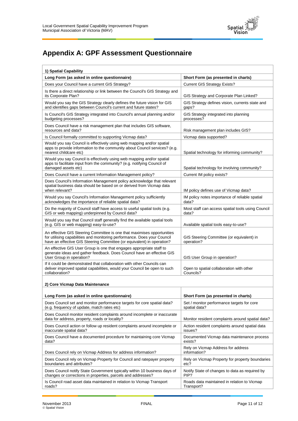

# <span id="page-10-0"></span>**Appendix A: GPF Assessment Questionnaire**

| 1) Spatial Capability                                                                                                                                                                                                         |                                                            |
|-------------------------------------------------------------------------------------------------------------------------------------------------------------------------------------------------------------------------------|------------------------------------------------------------|
| Long Form (as asked in online questionnaire)                                                                                                                                                                                  | Short Form (as presented in charts)                        |
| Does your Council have a current GIS Strategy?                                                                                                                                                                                | <b>Current GIS Strategy Exists?</b>                        |
| Is there a direct relationship or link between the Council's GIS Strategy and<br>its Corporate Plan?                                                                                                                          | GIS Strategy and Corporate Plan Linked?                    |
| Would you say the GIS Strategy clearly defines the future vision for GIS<br>and identifies gaps between Council's current and future states?                                                                                  | GIS Strategy defines vision, currents state and<br>gaps?   |
| Is Council's GIS Strategy integrated into Council's annual planning and/or<br>budgeting processes?                                                                                                                            | GIS Strategy integrated into planning<br>processes?        |
| Does Council have a risk management plan that includes GIS software,<br>resources and data?                                                                                                                                   | Risk management plan includes GIS?                         |
| Is Council formally committed to supporting Vicmap data?                                                                                                                                                                      | Vicmap data supported?                                     |
| Would you say Council is effectively using web mapping and/or spatial<br>apps to provide information to the community about Council services? (e.g.<br>nearest childcare etc)                                                 | Spatial technology for informing community?                |
| Would you say Council is effectively using web mapping and/or spatial<br>apps to facilitate input from the community? (e.g. notifying Council of<br>damaged assets etc)                                                       | Spatial technology for involving community?                |
| Does Council have a current Information Management policy?                                                                                                                                                                    | Current IM policy exists?                                  |
| Does Council's Information Management policy acknowledge that relevant<br>spatial business data should be based on or derived from Vicmap data<br>when relevant?                                                              | IM policy defines use of Vicmap data?                      |
| Would you say Council's Information Management policy sufficiently<br>acknowledges the importance of reliable spatial data?                                                                                                   | IM policy notes importance of reliable spatial<br>data?    |
| Do the majority of Council staff have access to useful spatial tools (e.g.<br>GIS or web mapping) underpinned by Council data?                                                                                                | Most staff can access spatial tools using Council<br>data? |
| Would you say that Council staff generally find the available spatial tools<br>(e.g. GIS or web mapping) easy-to-use?                                                                                                         | Available spatial tools easy-to-use?                       |
| An effective GIS Steering Committee is one that maximises opportunities<br>for utilising capabilities and monitoring performance. Does your Council<br>have an effective GIS Steering Committee (or equivalent) in operation? | GIS Steering Committee (or equivalent) in<br>operation?    |
| An effective GIS User Group is one that engages appropriate staff to<br>generate ideas and gather feedback. Does Council have an effective GIS<br>User Group in operation?                                                    | GIS User Group in operation?                               |
| If it could be demonstrated that collaboration with other Councils can<br>deliver improved spatial capabilities, would your Council be open to such<br>collaboration?                                                         | Open to spatial collaboration with other<br>Councils?      |

#### **2) Core Vicmap Data Maintenance**

| Long Form (as asked in online questionnaire)                                                                               | Short Form (as presented in charts)                |
|----------------------------------------------------------------------------------------------------------------------------|----------------------------------------------------|
| Does Council set and monitor performance targets for core spatial data?                                                    | Set / monitor performance targets for core         |
| (e.g. frequency of update, match rates etc)                                                                                | spatial data?                                      |
| Does Council monitor resident complaints around incomplete or inaccurate<br>data for address, property, roads or locality? | Monitor resident complaints around spatial data?   |
| Does Council action or follow up resident complaints around incomplete or                                                  | Action resident complaints around spatial data     |
| inaccurate spatial data?                                                                                                   | issues?                                            |
| Does Council have a documented procedure for maintaining core Vicmap                                                       | Documented Vicmap data maintenance process         |
| data?                                                                                                                      | exists?                                            |
| Does Council rely on Vicmap Address for address information?                                                               | Rely on Vicmap Address for address<br>information? |
| Does Council rely on Vicmap Property for Council and ratepayer property                                                    | Rely on Vicmap Property for property boundaries    |
| boundaries and attributes?                                                                                                 | etc?                                               |
| Does Council notify State Government typically within 10 business days of                                                  | Notify State of changes to data as required by     |
| changes or corrections in properties, parcels and addresses?                                                               | PIP?                                               |
| Is Council road asset data maintained in relation to Vicmap Transport                                                      | Roads data maintained in relation to Vicmap        |
| roads?                                                                                                                     | Transport?                                         |